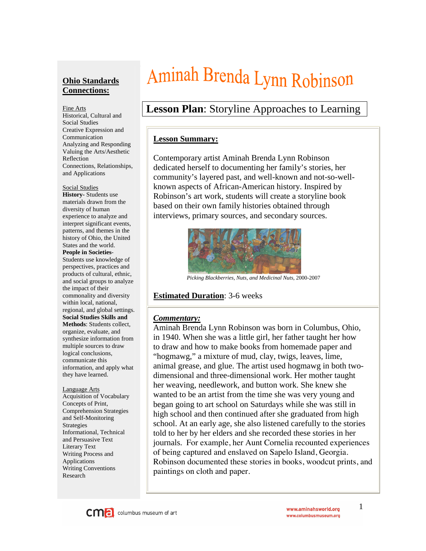#### **Ohio Standards Connections:**

Fine Arts Historical, Cultural and Social Studies Creative Expression and Communication Analyzing and Responding Valuing the Arts/Aesthetic Reflection Connections, Relationships, and Applications

#### Social Studies

**History-** Students use materials drawn from the diversity of human experience to analyze and interpret significant events, patterns, and themes in the history of Ohio, the United States and the world. **People in Societies**-Students use knowledge of perspectives, practices and products of cultural, ethnic, and social groups to analyze the impact of their commonality and diversity within local, national, regional, and global settings. **Social Studies Skills and Methods**: Students collect, organize, evaluate, and synthesize information from multiple sources to draw logical conclusions, communicate this information, and apply what they have learned.

#### Language Arts Acquisition of Vocabulary Concepts of Print, Comprehension Strategies and Self-Monitoring Strategies Informational, Technical and Persuasive Text Literary Text Writing Process and Applications Writing Conventions Research

# Aminah Brenda Lynn Robinson

# **Lesson Plan**: Storyline Approaches to Learning

#### **Lesson Summary:**

Contemporary artist Aminah Brenda Lynn Robinson dedicated herself to documenting her family's stories, her community's layered past, and well-known and not-so-wellknown aspects of African-American history. Inspired by Robinson's art work, students will create a storyline book based on their own family histories obtained through interviews, primary sources, and secondary sources.



*Picking Blackberries, Nuts, and Medicinal Nuts*, 2000-2007

#### **Estimated Duration**: 3-6 weeks

#### *Commentary:*

Aminah Brenda Lynn Robinson was born in Columbus, Ohio, in 1940. When she was a little girl, her father taught her how to draw and how to make books from homemade paper and "hogmawg," a mixture of mud, clay, twigs, leaves, lime, animal grease, and glue. The artist used hogmawg in both twodimensional and three-dimensional work. Her mother taught her weaving, needlework, and button work. She knew she wanted to be an artist from the time she was very young and began going to art school on Saturdays while she was still in high school and then continued after she graduated from high school. At an early age, she also listened carefully to the stories told to her by her elders and she recorded these stories in her journals. For example, her Aunt Cornelia recounted experiences of being captured and enslaved on Sapelo Island, Georgia. Robinson documented these stories in books, woodcut prints, and paintings on cloth and paper.



1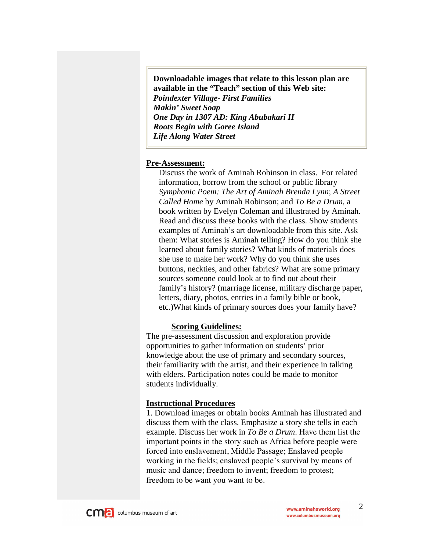**Downloadable images that relate to this lesson plan are available in the "Teach" section of this Web site:**  *Poindexter Village- First Families Makin' Sweet Soap One Day in 1307 AD: King Abubakari II Roots Begin with Goree Island Life Along Water Street*

#### **Pre-Assessment:**

Discuss the work of Aminah Robinson in class. For related information, borrow from the school or public library *Symphonic Poem: The Art of Aminah Brenda Lynn*; *A Street Called Home* by Aminah Robinson; and *To Be a Drum*, a book written by Evelyn Coleman and illustrated by Aminah. Read and discuss these books with the class. Show students examples of Aminah's art downloadable from this site. Ask them: What stories is Aminah telling? How do you think she learned about family stories? What kinds of materials does she use to make her work? Why do you think she uses buttons, neckties, and other fabrics? What are some primary sources someone could look at to find out about their family's history? (marriage license, military discharge paper, letters, diary, photos, entries in a family bible or book, etc.)What kinds of primary sources does your family have?

#### **Scoring Guidelines:**

The pre-assessment discussion and exploration provide opportunities to gather information on students' prior knowledge about the use of primary and secondary sources, their familiarity with the artist, and their experience in talking with elders. Participation notes could be made to monitor students individually.

#### **Instructional Procedures**

1. Download images or obtain books Aminah has illustrated and discuss them with the class. Emphasize a story she tells in each example. Discuss her work in *To Be a Drum*. Have them list the important points in the story such as Africa before people were forced into enslavement, Middle Passage; Enslaved people working in the fields; enslaved people's survival by means of music and dance; freedom to invent; freedom to protest; freedom to be want you want to be.



2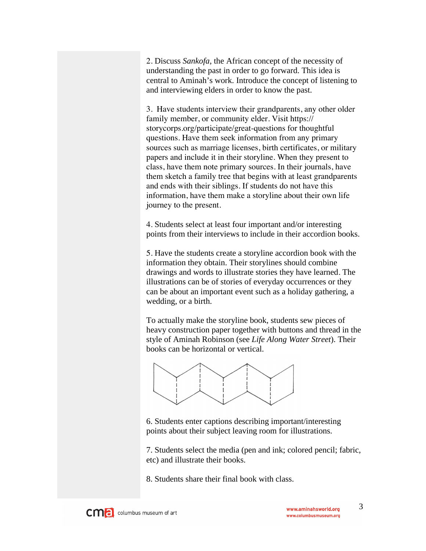2. Discuss *Sankofa*, the African concept of the necessity of understanding the past in order to go forward. This idea is central to Aminah's work. Introduce the concept of listening to and interviewing elders in order to know the past.

3. Have students interview their grandparents, any other older family member, or community elder. Visit https:// storycorps.org/participate/great-questions for thoughtful questions. Have them seek information from any primary sources such as marriage licenses, birth certificates, or military papers and include it in their storyline. When they present to class, have them note primary sources. In their journals, have them sketch a family tree that begins with at least grandparents and ends with their siblings. If students do not have this information, have them make a storyline about their own life journey to the present.

4. Students select at least four important and/or interesting points from their interviews to include in their accordion books.

5. Have the students create a storyline accordion book with the information they obtain. Their storylines should combine drawings and words to illustrate stories they have learned. The illustrations can be of stories of everyday occurrences or they can be about an important event such as a holiday gathering, a wedding, or a birth.

To actually make the storyline book, students sew pieces of heavy construction paper together with buttons and thread in the style of Aminah Robinson (see *Life Along Water Street*). Their books can be horizontal or vertical.



6. Students enter captions describing important/interesting points about their subject leaving room for illustrations.

7. Students select the media (pen and ink; colored pencil; fabric, etc) and illustrate their books.

8. Students share their final book with class.

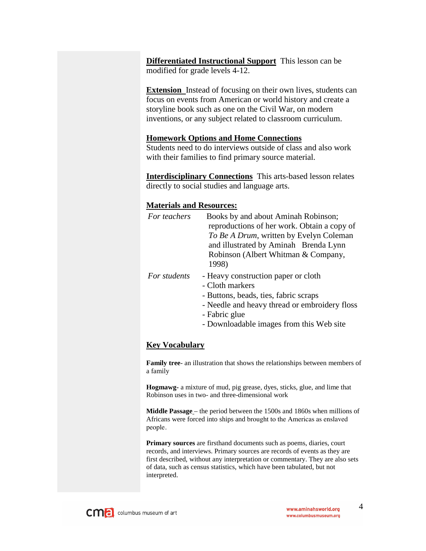**Differentiated Instructional Support** This lesson can be modified for grade levels 4-12.

**Extension** Instead of focusing on their own lives, students can focus on events from American or world history and create a storyline book such as one on the Civil War, on modern inventions, or any subject related to classroom curriculum.

#### **Homework Options and Home Connections**

Students need to do interviews outside of class and also work with their families to find primary source material.

**Interdisciplinary Connections** This arts-based lesson relates directly to social studies and language arts.

#### **Materials and Resources:**

| For teachers | Books by and about Aminah Robinson;<br>reproductions of her work. Obtain a copy of<br>To Be A Drum, written by Evelyn Coleman<br>and illustrated by Aminah Brenda Lynn<br>Robinson (Albert Whitman & Company,<br>1998) |
|--------------|------------------------------------------------------------------------------------------------------------------------------------------------------------------------------------------------------------------------|
| For students | - Heavy construction paper or cloth<br>- Cloth markers<br>- Buttons, beads, ties, fabric scraps<br>- Needle and heavy thread or embroidery floss<br>- Fabric glue<br>- Downloadable images from this Web site          |

#### **Key Vocabulary**

**Family tree**- an illustration that shows the relationships between members of a family

**Hogmawg-** a mixture of mud, pig grease, dyes, sticks, glue, and lime that Robinson uses in two- and three-dimensional work

**Middle Passage** – the period between the 1500s and 1860s when millions of Africans were forced into ships and brought to the Americas as enslaved people.

**Primary sources** are firsthand documents such as poems, diaries, court records, and interviews. Primary sources are records of events as they are first described, without any interpretation or commentary. They are also sets of data, such as census statistics, which have been tabulated, but not interpreted.

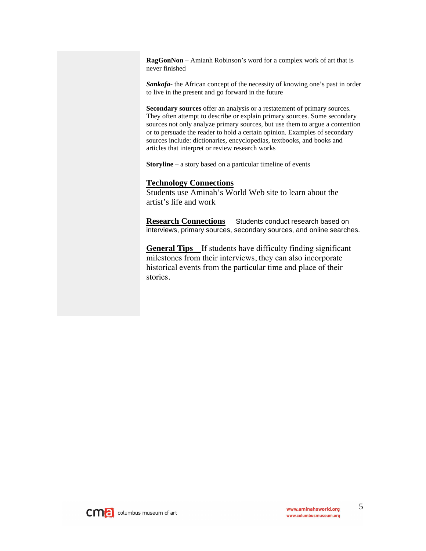**RagGonNon** – Amianh Robinson's word for a complex work of art that is never finished

*Sankofa*- the African concept of the necessity of knowing one's past in order to live in the present and go forward in the future

**Secondary sources** offer an analysis or a restatement of primary sources. They often attempt to describe or explain primary sources. Some secondary sources not only analyze primary sources, but use them to argue a contention or to persuade the reader to hold a certain opinion. Examples of secondary sources include: dictionaries, encyclopedias, textbooks, and books and articles that interpret or review research works

**Storyline** – a story based on a particular timeline of events

#### **Technology Connections**

Students use Aminah's World Web site to learn about the artist's life and work

**Research Connections** Students conduct research based on interviews, primary sources, secondary sources, and online searches.

**General Tips** If students have difficulty finding significant milestones from their interviews, they can also incorporate historical events from the particular time and place of their stories.

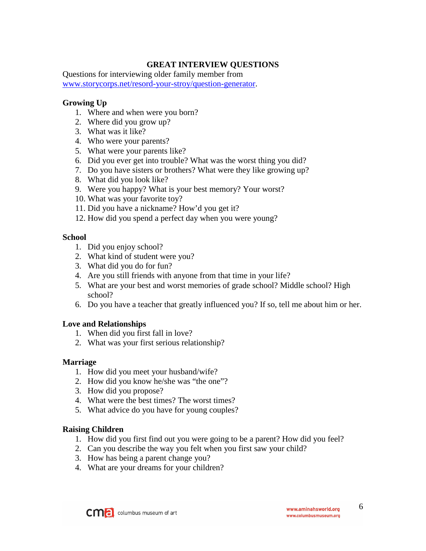#### **GREAT INTERVIEW QUESTIONS**

Questions for interviewing older family member from www.storycorps.net/resord-your-stroy/question-generator.

#### **Growing Up**

- 1. Where and when were you born?
- 2. Where did you grow up?
- 3. What was it like?
- 4. Who were your parents?
- 5. What were your parents like?
- 6. Did you ever get into trouble? What was the worst thing you did?
- 7. Do you have sisters or brothers? What were they like growing up?
- 8. What did you look like?
- 9. Were you happy? What is your best memory? Your worst?
- 10. What was your favorite toy?
- 11. Did you have a nickname? How'd you get it?
- 12. How did you spend a perfect day when you were young?

#### **School**

- 1. Did you enjoy school?
- 2. What kind of student were you?
- 3. What did you do for fun?
- 4. Are you still friends with anyone from that time in your life?
- 5. What are your best and worst memories of grade school? Middle school? High school?
- 6. Do you have a teacher that greatly influenced you? If so, tell me about him or her.

#### **Love and Relationships**

- 1. When did you first fall in love?
- 2. What was your first serious relationship?

#### **Marriage**

- 1. How did you meet your husband/wife?
- 2. How did you know he/she was "the one"?
- 3. How did you propose?
- 4. What were the best times? The worst times?
- 5. What advice do you have for young couples?

#### **Raising Children**

- 1. How did you first find out you were going to be a parent? How did you feel?
- 2. Can you describe the way you felt when you first saw your child?
- 3. How has being a parent change you?
- 4. What are your dreams for your children?

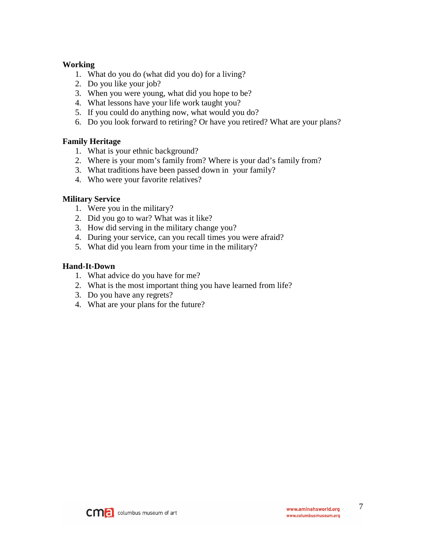#### **Working**

- 1. What do you do (what did you do) for a living?
- 2. Do you like your job?
- 3. When you were young, what did you hope to be?
- 4. What lessons have your life work taught you?
- 5. If you could do anything now, what would you do?
- 6. Do you look forward to retiring? Or have you retired? What are your plans?

### **Family Heritage**

- 1. What is your ethnic background?
- 2. Where is your mom's family from? Where is your dad's family from?
- 3. What traditions have been passed down in your family?
- 4. Who were your favorite relatives?

### **Military Service**

- 1. Were you in the military?
- 2. Did you go to war? What was it like?
- 3. How did serving in the military change you?
- 4. During your service, can you recall times you were afraid?
- 5. What did you learn from your time in the military?

#### **Hand-It-Down**

- 1. What advice do you have for me?
- 2. What is the most important thing you have learned from life?
- 3. Do you have any regrets?
- 4. What are your plans for the future?

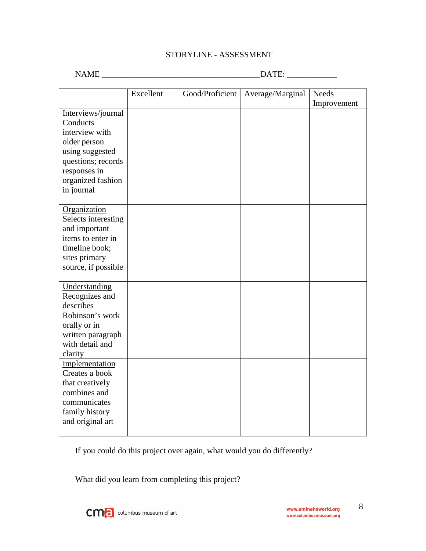#### STORYLINE - ASSESSMENT

NAME \_\_\_\_\_\_\_\_\_\_\_\_\_\_\_\_\_\_\_\_\_\_\_\_\_\_\_\_\_\_\_\_\_\_\_\_\_\_DATE: \_\_\_\_\_\_\_\_\_\_\_\_

|                                                                                                                                                              | Excellent | Good/Proficient | Average/Marginal | <b>Needs</b> |
|--------------------------------------------------------------------------------------------------------------------------------------------------------------|-----------|-----------------|------------------|--------------|
| Interviews/journal<br>Conducts<br>interview with<br>older person<br>using suggested<br>questions; records<br>responses in<br>organized fashion<br>in journal |           |                 |                  | Improvement  |
| Organization<br>Selects interesting<br>and important<br>items to enter in<br>timeline book;<br>sites primary<br>source, if possible                          |           |                 |                  |              |
| Understanding<br>Recognizes and<br>describes<br>Robinson's work<br>orally or in<br>written paragraph<br>with detail and<br>clarity                           |           |                 |                  |              |
| Implementation<br>Creates a book<br>that creatively<br>combines and<br>communicates<br>family history<br>and original art                                    |           |                 |                  |              |

If you could do this project over again, what would you do differently?

What did you learn from completing this project?